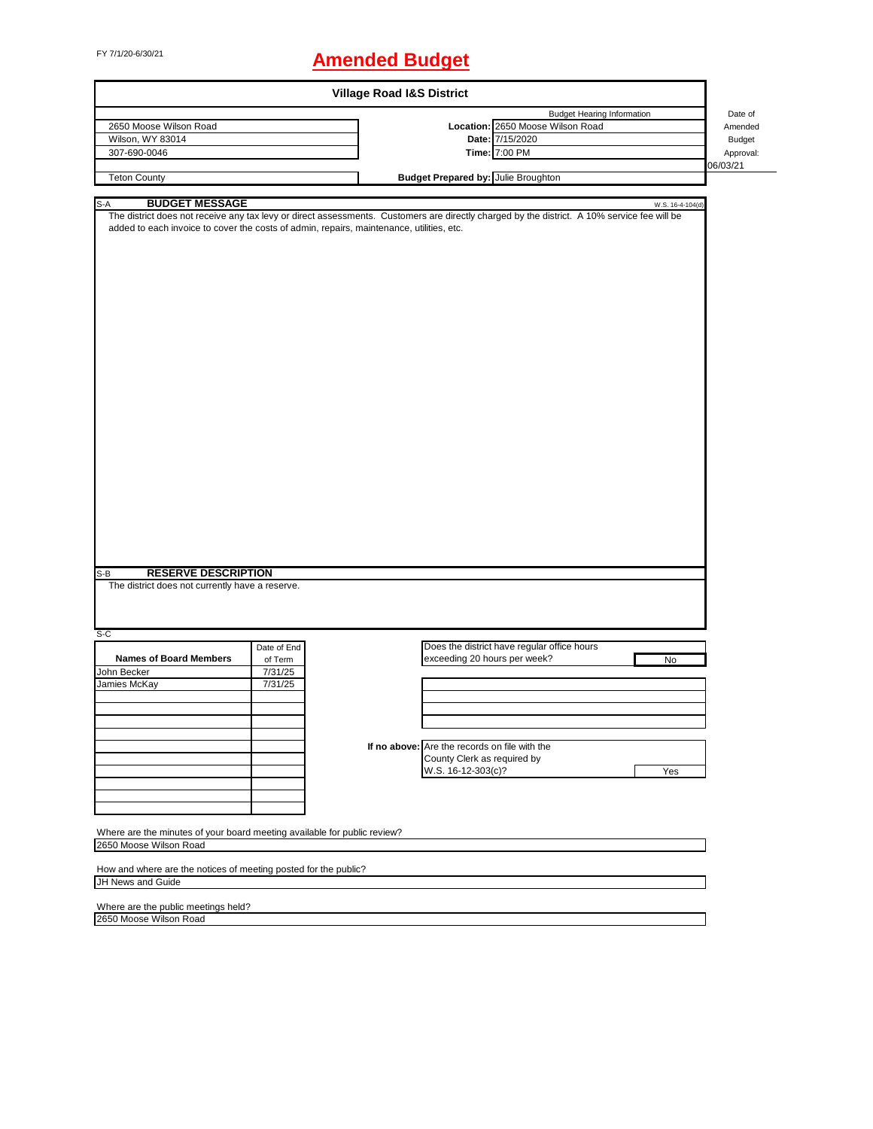# FY 7/1/20-6/30/21 **Amended Budget**

| <b>Village Road I&amp;S District</b>                                                                                                        |             |  |                                               |                                             |                  |           |  |  |
|---------------------------------------------------------------------------------------------------------------------------------------------|-------------|--|-----------------------------------------------|---------------------------------------------|------------------|-----------|--|--|
|                                                                                                                                             |             |  |                                               | <b>Budget Hearing Information</b>           |                  | Date of   |  |  |
| 2650 Moose Wilson Road                                                                                                                      |             |  |                                               | Location: 2650 Moose Wilson Road            |                  | Amended   |  |  |
| Wilson, WY 83014                                                                                                                            |             |  |                                               | Date: 7/15/2020                             |                  | Budget    |  |  |
| 307-690-0046                                                                                                                                |             |  |                                               | Time: 7:00 PM                               |                  | Approval: |  |  |
|                                                                                                                                             |             |  |                                               |                                             |                  | 06/03/21  |  |  |
| <b>Teton County</b>                                                                                                                         |             |  | <b>Budget Prepared by: Julie Broughton</b>    |                                             |                  |           |  |  |
|                                                                                                                                             |             |  |                                               |                                             |                  |           |  |  |
| S-A<br><b>BUDGET MESSAGE</b>                                                                                                                |             |  |                                               |                                             | W.S. 16-4-104(d) |           |  |  |
| The district does not receive any tax levy or direct assessments. Customers are directly charged by the district. A 10% service fee will be |             |  |                                               |                                             |                  |           |  |  |
| added to each invoice to cover the costs of admin, repairs, maintenance, utilities, etc.                                                    |             |  |                                               |                                             |                  |           |  |  |
|                                                                                                                                             |             |  |                                               |                                             |                  |           |  |  |
|                                                                                                                                             |             |  |                                               |                                             |                  |           |  |  |
|                                                                                                                                             |             |  |                                               |                                             |                  |           |  |  |
|                                                                                                                                             |             |  |                                               |                                             |                  |           |  |  |
|                                                                                                                                             |             |  |                                               |                                             |                  |           |  |  |
|                                                                                                                                             |             |  |                                               |                                             |                  |           |  |  |
|                                                                                                                                             |             |  |                                               |                                             |                  |           |  |  |
|                                                                                                                                             |             |  |                                               |                                             |                  |           |  |  |
|                                                                                                                                             |             |  |                                               |                                             |                  |           |  |  |
|                                                                                                                                             |             |  |                                               |                                             |                  |           |  |  |
|                                                                                                                                             |             |  |                                               |                                             |                  |           |  |  |
|                                                                                                                                             |             |  |                                               |                                             |                  |           |  |  |
|                                                                                                                                             |             |  |                                               |                                             |                  |           |  |  |
|                                                                                                                                             |             |  |                                               |                                             |                  |           |  |  |
|                                                                                                                                             |             |  |                                               |                                             |                  |           |  |  |
|                                                                                                                                             |             |  |                                               |                                             |                  |           |  |  |
|                                                                                                                                             |             |  |                                               |                                             |                  |           |  |  |
|                                                                                                                                             |             |  |                                               |                                             |                  |           |  |  |
|                                                                                                                                             |             |  |                                               |                                             |                  |           |  |  |
|                                                                                                                                             |             |  |                                               |                                             |                  |           |  |  |
|                                                                                                                                             |             |  |                                               |                                             |                  |           |  |  |
|                                                                                                                                             |             |  |                                               |                                             |                  |           |  |  |
|                                                                                                                                             |             |  |                                               |                                             |                  |           |  |  |
|                                                                                                                                             |             |  |                                               |                                             |                  |           |  |  |
|                                                                                                                                             |             |  |                                               |                                             |                  |           |  |  |
| <b>RESERVE DESCRIPTION</b><br>S-B                                                                                                           |             |  |                                               |                                             |                  |           |  |  |
| The district does not currently have a reserve.                                                                                             |             |  |                                               |                                             |                  |           |  |  |
|                                                                                                                                             |             |  |                                               |                                             |                  |           |  |  |
|                                                                                                                                             |             |  |                                               |                                             |                  |           |  |  |
| S-C                                                                                                                                         |             |  |                                               |                                             |                  |           |  |  |
|                                                                                                                                             | Date of End |  |                                               | Does the district have regular office hours |                  |           |  |  |
| <b>Names of Board Members</b>                                                                                                               | of Term     |  | exceeding 20 hours per week?                  |                                             | No               |           |  |  |
| John Becker                                                                                                                                 | 7/31/25     |  |                                               |                                             |                  |           |  |  |
| Jamies McKay                                                                                                                                | 7/31/25     |  |                                               |                                             |                  |           |  |  |
|                                                                                                                                             |             |  |                                               |                                             |                  |           |  |  |
|                                                                                                                                             |             |  |                                               |                                             |                  |           |  |  |
|                                                                                                                                             |             |  |                                               |                                             |                  |           |  |  |
|                                                                                                                                             |             |  |                                               |                                             |                  |           |  |  |
|                                                                                                                                             |             |  | If no above: Are the records on file with the |                                             |                  |           |  |  |
|                                                                                                                                             |             |  | County Clerk as required by                   |                                             |                  |           |  |  |
|                                                                                                                                             |             |  | W.S. 16-12-303(c)?                            |                                             | Yes              |           |  |  |
|                                                                                                                                             |             |  |                                               |                                             |                  |           |  |  |
|                                                                                                                                             |             |  |                                               |                                             |                  |           |  |  |
|                                                                                                                                             |             |  |                                               |                                             |                  |           |  |  |
|                                                                                                                                             |             |  |                                               |                                             |                  |           |  |  |
| Where are the minutes of your board meeting available for public review?                                                                    |             |  |                                               |                                             |                  |           |  |  |
| 2650 Moose Wilson Road                                                                                                                      |             |  |                                               |                                             |                  |           |  |  |
|                                                                                                                                             |             |  |                                               |                                             |                  |           |  |  |
| How and where are the notices of meeting posted for the public?<br>JH News and Guide                                                        |             |  |                                               |                                             |                  |           |  |  |
|                                                                                                                                             |             |  |                                               |                                             |                  |           |  |  |
| Where are the public meetings held?                                                                                                         |             |  |                                               |                                             |                  |           |  |  |
| 2650 Moose Wilson Road                                                                                                                      |             |  |                                               |                                             |                  |           |  |  |
|                                                                                                                                             |             |  |                                               |                                             |                  |           |  |  |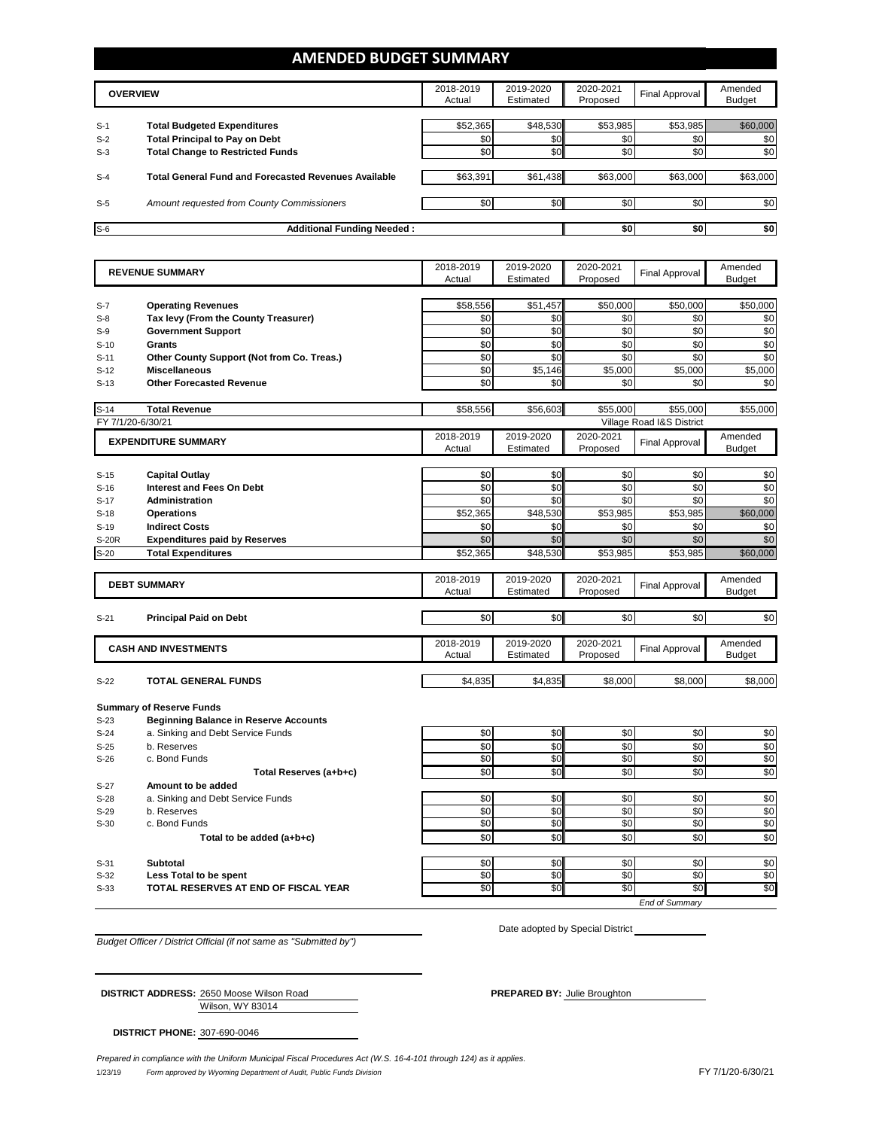### **AMENDED BUDGET SUMMARY**

|       | <b>OVERVIEW</b>                                             | 2018-2019<br>Actual | 2019-2020<br>Estimated | 2020-2021<br>Proposed | Final Approval | Amended<br>Budget |
|-------|-------------------------------------------------------------|---------------------|------------------------|-----------------------|----------------|-------------------|
|       |                                                             |                     |                        |                       |                |                   |
| $S-1$ | <b>Total Budgeted Expenditures</b>                          | \$52,365            | \$48,530               | \$53,985              | \$53,985       | \$60,000          |
| $S-2$ | <b>Total Principal to Pay on Debt</b>                       | \$0                 | \$0                    | \$0                   | \$0            | \$0               |
| $S-3$ | <b>Total Change to Restricted Funds</b>                     | \$0                 | \$0                    | \$0                   | \$0            | \$0               |
|       |                                                             |                     |                        |                       |                |                   |
| $S-4$ | <b>Total General Fund and Forecasted Revenues Available</b> | \$63,391            | \$61,438               | \$63,000              | \$63,000       | \$63,000          |
|       |                                                             |                     |                        |                       |                |                   |
| $S-5$ | Amount requested from County Commissioners                  | \$0                 | \$0                    | \$0                   | \$0            | \$0               |
|       |                                                             |                     |                        |                       |                |                   |
| $S-6$ | <b>Additional Funding Needed:</b>                           |                     |                        | \$0                   | \$0            | \$0               |

|                   | <b>REVENUE SUMMARY</b>                                                          | 2018-2019           | 2019-2020              | 2020-2021             | <b>Final Approval</b>     | Amended                  |
|-------------------|---------------------------------------------------------------------------------|---------------------|------------------------|-----------------------|---------------------------|--------------------------|
|                   |                                                                                 | Actual              | Estimated              | Proposed              |                           | <b>Budget</b>            |
|                   |                                                                                 | \$58,556            | \$51,457               | \$50,000              | \$50,000                  | \$50,000                 |
| $S-7$<br>$S-8$    | <b>Operating Revenues</b><br>Tax levy (From the County Treasurer)               | \$0                 | \$0                    | \$0                   | \$0                       | \$0                      |
| $S-9$             | <b>Government Support</b>                                                       | \$0                 | \$0                    | \$0                   | \$0                       | \$0                      |
| $S-10$            | Grants                                                                          | \$0                 | \$0                    | \$0                   | \$0                       | \$0                      |
| $S-11$            | Other County Support (Not from Co. Treas.)                                      | \$0                 | \$0                    | \$0                   | \$0                       | \$0                      |
| $S-12$            | <b>Miscellaneous</b>                                                            | \$0                 | \$5,146                | \$5,000               | \$5,000                   | \$5,000                  |
| $S-13$            | <b>Other Forecasted Revenue</b>                                                 | \$0                 | \$0                    | \$0                   | \$0                       | \$0                      |
|                   |                                                                                 |                     |                        |                       |                           |                          |
| $S-14$            | <b>Total Revenue</b>                                                            | \$58,556            | \$56,603               | \$55,000              | \$55.000                  | \$55,000                 |
| FY 7/1/20-6/30/21 |                                                                                 |                     |                        |                       | Village Road I&S District |                          |
|                   | <b>EXPENDITURE SUMMARY</b>                                                      | 2018-2019           | 2019-2020              | 2020-2021             | <b>Final Approval</b>     | Amended                  |
|                   |                                                                                 | Actual              | Estimated              | Proposed              |                           | <b>Budget</b>            |
|                   |                                                                                 |                     |                        |                       |                           |                          |
| $S-15$            | <b>Capital Outlay</b>                                                           | \$0                 | \$0                    | \$0                   | \$0                       | \$0                      |
| $S-16$            | <b>Interest and Fees On Debt</b>                                                | \$0                 | \$0                    | \$0                   | \$0                       | \$0                      |
| $S-17$            | <b>Administration</b>                                                           | \$0                 | \$0                    | \$0                   | \$0                       | \$0                      |
| $S-18$            | <b>Operations</b>                                                               | \$52,365            | \$48,530               | \$53,985              | \$53,985                  | \$60,000                 |
| $S-19$            | <b>Indirect Costs</b>                                                           | \$0                 | \$0                    | \$0                   | \$0                       | \$0                      |
| S-20R             | <b>Expenditures paid by Reserves</b>                                            | \$0                 | \$0                    | \$0                   | \$0                       | \$0                      |
| $S-20$            | <b>Total Expenditures</b>                                                       | \$52,365            | \$48,530               | \$53,985              | \$53,985                  | \$60,000                 |
|                   |                                                                                 |                     |                        |                       |                           |                          |
|                   | <b>DEBT SUMMARY</b>                                                             | 2018-2019<br>Actual | 2019-2020<br>Estimated | 2020-2021<br>Proposed | <b>Final Approval</b>     | Amended<br><b>Budget</b> |
|                   |                                                                                 |                     |                        |                       |                           |                          |
| $S-21$            | <b>Principal Paid on Debt</b>                                                   | \$0                 | \$0                    | \$0                   | \$0                       | \$0                      |
|                   |                                                                                 |                     |                        |                       |                           |                          |
|                   | <b>CASH AND INVESTMENTS</b>                                                     | 2018-2019           | 2019-2020              | 2020-2021             | <b>Final Approval</b>     | Amended                  |
|                   |                                                                                 | Actual              | Estimated              | Proposed              |                           | <b>Budget</b>            |
|                   |                                                                                 |                     |                        |                       |                           |                          |
| $S-22$            | <b>TOTAL GENERAL FUNDS</b>                                                      | \$4,835             | \$4,835                | \$8,000               | \$8,000                   | \$8,000                  |
|                   |                                                                                 |                     |                        |                       |                           |                          |
| $S-23$            | <b>Summary of Reserve Funds</b><br><b>Beginning Balance in Reserve Accounts</b> |                     |                        |                       |                           |                          |
| $S-24$            | a. Sinking and Debt Service Funds                                               | \$0                 | \$0                    | \$0                   | \$0                       | \$0                      |
| $S-25$            | b. Reserves                                                                     | \$0                 | \$0                    | \$0                   | \$0                       | \$0                      |
| $S-26$            | c. Bond Funds                                                                   | \$0                 | \$0                    | \$0                   | \$0                       | \$0                      |
|                   | Total Reserves (a+b+c)                                                          | \$0                 | \$0                    | \$0                   | \$0                       | \$0                      |
| $S-27$            | Amount to be added                                                              |                     |                        |                       |                           |                          |
| $S-28$            | a. Sinking and Debt Service Funds                                               | \$0                 | \$0                    | \$0                   | \$0                       | \$0                      |
| $S-29$            | b. Reserves                                                                     | \$0                 | \$0                    | \$0                   | \$0                       | \$0                      |
| $S-30$            | c. Bond Funds                                                                   | \$0                 | \$0                    | \$0                   | \$0                       | \$0                      |
|                   | Total to be added (a+b+c)                                                       | \$0                 | \$0                    | \$0                   | \$0                       | \$0                      |
|                   |                                                                                 |                     |                        |                       |                           |                          |
|                   |                                                                                 |                     |                        |                       |                           |                          |
|                   |                                                                                 |                     |                        |                       |                           |                          |
| $S-31$<br>$S-32$  | <b>Subtotal</b>                                                                 | \$0<br>\$0          | \$0                    | \$0<br>\$0            | \$0<br>\$0                |                          |
| $S-33$            | Less Total to be spent<br>TOTAL RESERVES AT END OF FISCAL YEAR                  | \$0                 | \$0<br>$\overline{50}$ | \$0                   | $\overline{50}$           | \$0<br>\$0<br>\$0        |

*Budget Officer / District Official (if not same as "Submitted by")*

Date adopted by Special District

Wilson, WY 83014 **DISTRICT ADDRESS:** 2650 Moose Wilson Road **PREPARED BY:** Julie Broughton

**DISTRICT PHONE:** 307-690-0046

1/23/19 *Form approved by Wyoming Department of Audit, Public Funds Division* FY 7/1/20-6/30/21 *Prepared in compliance with the Uniform Municipal Fiscal Procedures Act (W.S. 16-4-101 through 124) as it applies.*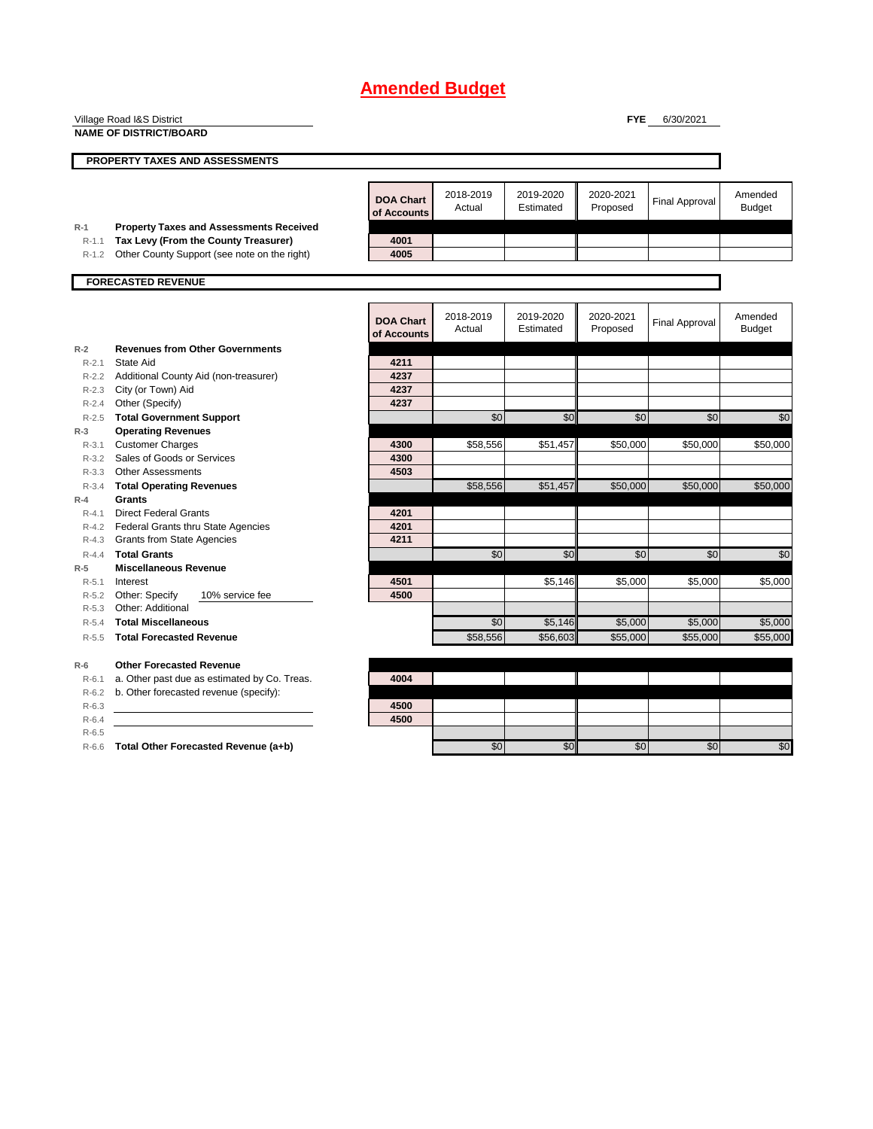|           | Village Road I&S District                      |                                 |                     |                        | <b>FYE</b>            | 6/30/2021             |                          |
|-----------|------------------------------------------------|---------------------------------|---------------------|------------------------|-----------------------|-----------------------|--------------------------|
|           | <b>NAME OF DISTRICT/BOARD</b>                  |                                 |                     |                        |                       |                       |                          |
|           |                                                |                                 |                     |                        |                       |                       |                          |
|           | PROPERTY TAXES AND ASSESSMENTS                 |                                 |                     |                        |                       |                       |                          |
|           |                                                |                                 |                     |                        |                       |                       |                          |
|           |                                                | <b>DOA Chart</b><br>of Accounts | 2018-2019<br>Actual | 2019-2020<br>Estimated | 2020-2021<br>Proposed | <b>Final Approval</b> | Amended<br><b>Budget</b> |
| $R-1$     | <b>Property Taxes and Assessments Received</b> |                                 |                     |                        |                       |                       |                          |
| $R-1.1$   | Tax Levy (From the County Treasurer)           | 4001                            |                     |                        |                       |                       |                          |
| $R-1.2$   | Other County Support (see note on the right)   | 4005                            |                     |                        |                       |                       |                          |
|           | <b>FORECASTED REVENUE</b>                      |                                 |                     |                        |                       |                       |                          |
|           |                                                |                                 |                     |                        |                       |                       |                          |
|           |                                                | <b>DOA Chart</b><br>of Accounts | 2018-2019<br>Actual | 2019-2020<br>Estimated | 2020-2021<br>Proposed | <b>Final Approval</b> | Amended<br><b>Budget</b> |
| $R-2$     | <b>Revenues from Other Governments</b>         |                                 |                     |                        |                       |                       |                          |
| $R - 2.1$ | <b>State Aid</b>                               | 4211                            |                     |                        |                       |                       |                          |
| $R - 2.2$ | Additional County Aid (non-treasurer)          | 4237                            |                     |                        |                       |                       |                          |
| $R - 2.3$ | City (or Town) Aid                             | 4237                            |                     |                        |                       |                       |                          |
| $R - 2.4$ | Other (Specify)                                | 4237                            |                     |                        |                       |                       |                          |
| $R-2.5$   | <b>Total Government Support</b>                |                                 | \$0                 | \$0                    | \$0                   | \$0                   | \$0                      |
| $R-3$     | <b>Operating Revenues</b>                      |                                 |                     |                        |                       |                       |                          |
| $R - 3.1$ | <b>Customer Charges</b>                        | 4300                            | \$58,556            | \$51,457               | \$50,000              | \$50,000              | \$50,000                 |
| $R - 3.2$ | Sales of Goods or Services                     | 4300                            |                     |                        |                       |                       |                          |
| $R - 3.3$ | <b>Other Assessments</b>                       | 4503                            |                     |                        |                       |                       |                          |
| $R - 3.4$ | <b>Total Operating Revenues</b>                |                                 | \$58,556            | \$51,457               | \$50,000              | \$50,000              | \$50,000                 |
| $R-4$     | Grants                                         |                                 |                     |                        |                       |                       |                          |
| $R - 4.1$ | <b>Direct Federal Grants</b>                   | 4201                            |                     |                        |                       |                       |                          |
| $R-4.2$   | Federal Grants thru State Agencies             | 4201                            |                     |                        |                       |                       |                          |
| $R-4.3$   | <b>Grants from State Agencies</b>              | 4211                            |                     |                        |                       |                       |                          |
| $R - 4.4$ | <b>Total Grants</b>                            |                                 | \$0                 | \$0                    | $\overline{50}$       | \$0                   | \$0                      |
| $R-5$     | <b>Miscellaneous Revenue</b>                   |                                 |                     |                        |                       |                       |                          |
| $R - 5.1$ | Interest                                       | 4501                            |                     | \$5,146                | \$5,000               | \$5,000               | \$5.000                  |
| $R-5.2$   | Other: Specify<br>10% service fee              | 4500                            |                     |                        |                       |                       |                          |
| $R - 5.3$ | Other: Additional                              |                                 |                     |                        |                       |                       |                          |
| $R - 5.4$ | <b>Total Miscellaneous</b>                     |                                 | \$0                 | \$5,146                | \$5,000               | \$5,000               | \$5,000                  |
| $R - 5.5$ | <b>Total Forecasted Revenue</b>                |                                 | \$58,556            | \$56,603               | \$55,000              | \$55,000              | \$55,000                 |
| $R-6$     | <b>Other Forecasted Revenue</b>                |                                 |                     |                        |                       |                       |                          |
| $R - 6.1$ | a. Other past due as estimated by Co. Treas.   | 4004                            |                     |                        |                       |                       |                          |
| $R-6.2$   | b. Other forecasted revenue (specify):         |                                 |                     |                        |                       |                       |                          |
| $R-6.3$   |                                                | 4500                            |                     |                        |                       |                       |                          |
| $R-6.4$   |                                                | 4500                            |                     |                        |                       |                       |                          |
| $R-6.5$   |                                                |                                 |                     |                        |                       |                       |                          |

R-6.6 **Total Other Forecasted Revenue (a+b) 12 \ Contract Contract Contract Contract Contract Contract Contract Contract Contract Contract Contract Contract Contract Contract Contract Contract Contract Contract Contract**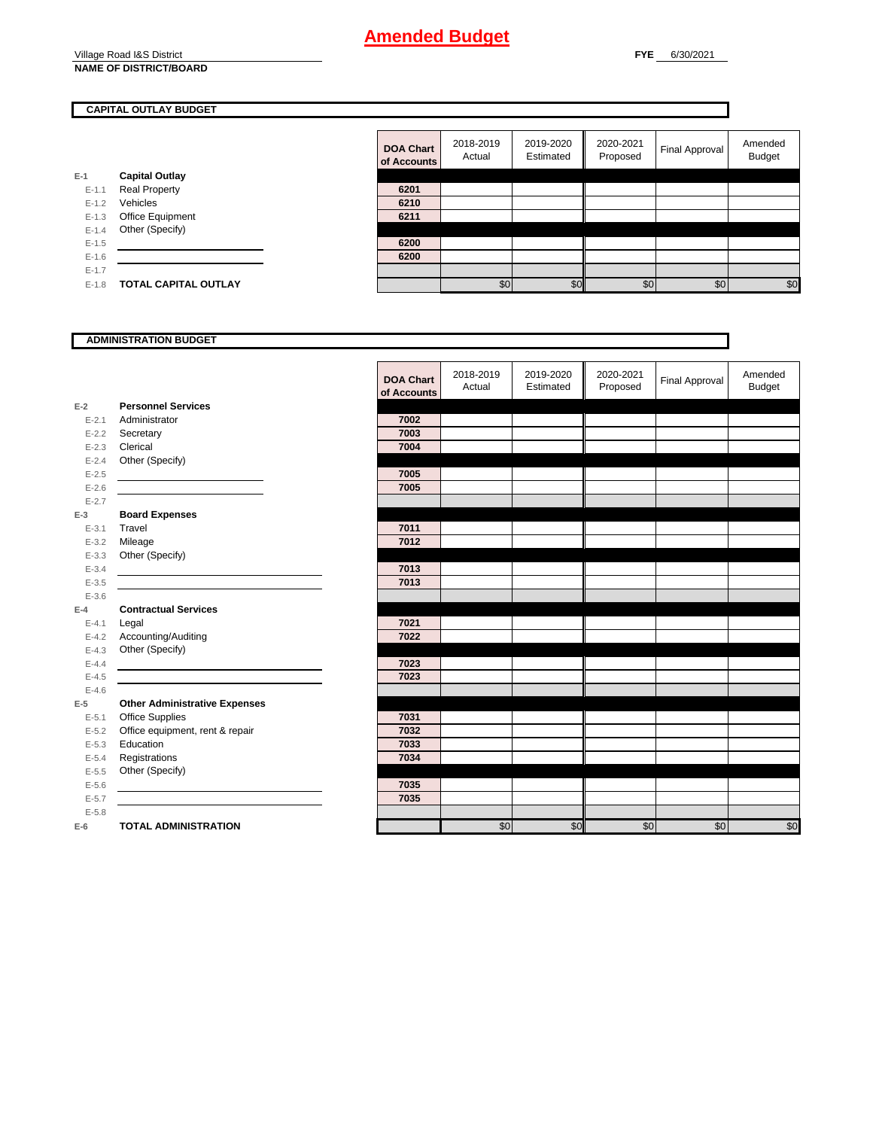#### Village Road I&S District **NAME OF DISTRICT/BOARD**

### **CAPITAL OUTLAY BUDGET**

|         |                             | <b>DOA Chart</b><br>of Accounts | 2018-2019<br>Actual | 2019-2020<br>Estimated | 2020-2021<br>Proposed | Final Approval | Amended<br><b>Budget</b> |
|---------|-----------------------------|---------------------------------|---------------------|------------------------|-----------------------|----------------|--------------------------|
| $E-1$   | <b>Capital Outlay</b>       |                                 |                     |                        |                       |                |                          |
| $E-1.1$ | <b>Real Property</b>        | 6201                            |                     |                        |                       |                |                          |
| $E-1.2$ | Vehicles                    | 6210                            |                     |                        |                       |                |                          |
| $E-1.3$ | Office Equipment            | 6211                            |                     |                        |                       |                |                          |
| $E-1.4$ | Other (Specify)             |                                 |                     |                        |                       |                |                          |
| $E-1.5$ |                             | 6200                            |                     |                        |                       |                |                          |
| $E-1.6$ |                             | 6200                            |                     |                        |                       |                |                          |
| $E-1.7$ |                             |                                 |                     |                        |                       |                |                          |
| $E-1.8$ | <b>TOTAL CAPITAL OUTLAY</b> |                                 | \$0                 | \$0                    | \$0                   | \$0            | \$0                      |

### **ADMINISTRATION BUDGET**

#### **E-2** E-2.1 Administrator E-2.2 **Secretary** E-2.3 **Clerical** E-2.4 Other (Specify) E-2.5 **7005** E-2.6 **7005** E-2.7 **E-3** E-3.1 **Travel** E-3.2 Mileage E-3.3 Other (Specify) E-3.4 **7013** E-3.5 **7013** E-3.6 **E-4** E-4.1 **Legal** E-4.2 Accounting/Auditing E-4.3 Other (Specify) E-4.4 **7023** E-4.5 **7023** E-4.6 **E-5 Other Administrative Expenses** E-5.1 Office Supplies E-5.2 Office equipment, rent & repair E-5.3 **Education** E-5.4 **Registrations** E-5.5 Other (Specify) E-5.6 **7035** E-5.7 **7035** E-5.8 **E-6 TOTAL ADMINISTRATION Personnel Services Board Expenses Contractual Services**

| <b>DOA Chart</b><br>of Accounts | 2018-2019<br>Actual | 2019-2020<br>Estimated | 2020-2021<br>Proposed | Final Approval | Amended<br><b>Budget</b> |
|---------------------------------|---------------------|------------------------|-----------------------|----------------|--------------------------|
|                                 |                     |                        |                       |                |                          |
| 7002                            |                     |                        |                       |                |                          |
| 7003                            |                     |                        |                       |                |                          |
| 7004                            |                     |                        |                       |                |                          |
|                                 |                     |                        |                       |                |                          |
| 7005                            |                     |                        |                       |                |                          |
| 7005                            |                     |                        |                       |                |                          |
|                                 |                     |                        |                       |                |                          |
|                                 |                     |                        |                       |                |                          |
| 7011                            |                     |                        |                       |                |                          |
| 7012                            |                     |                        |                       |                |                          |
|                                 |                     |                        |                       |                |                          |
| 7013                            |                     |                        |                       |                |                          |
| 7013                            |                     |                        |                       |                |                          |
|                                 |                     |                        |                       |                |                          |
|                                 |                     |                        |                       |                |                          |
| 7021<br>7022                    |                     |                        |                       |                |                          |
|                                 |                     |                        |                       |                |                          |
| 7023                            |                     |                        |                       |                |                          |
| 7023                            |                     |                        |                       |                |                          |
|                                 |                     |                        |                       |                |                          |
|                                 |                     |                        |                       |                |                          |
| 7031                            |                     |                        |                       |                |                          |
| 7032                            |                     |                        |                       |                |                          |
| 7033                            |                     |                        |                       |                |                          |
| 7034                            |                     |                        |                       |                |                          |
|                                 |                     |                        |                       |                |                          |
| 7035                            |                     |                        |                       |                |                          |
| 7035                            |                     |                        |                       |                |                          |
|                                 |                     |                        |                       |                |                          |
|                                 | \$0                 | \$0                    | \$0                   | \$0            | \$0                      |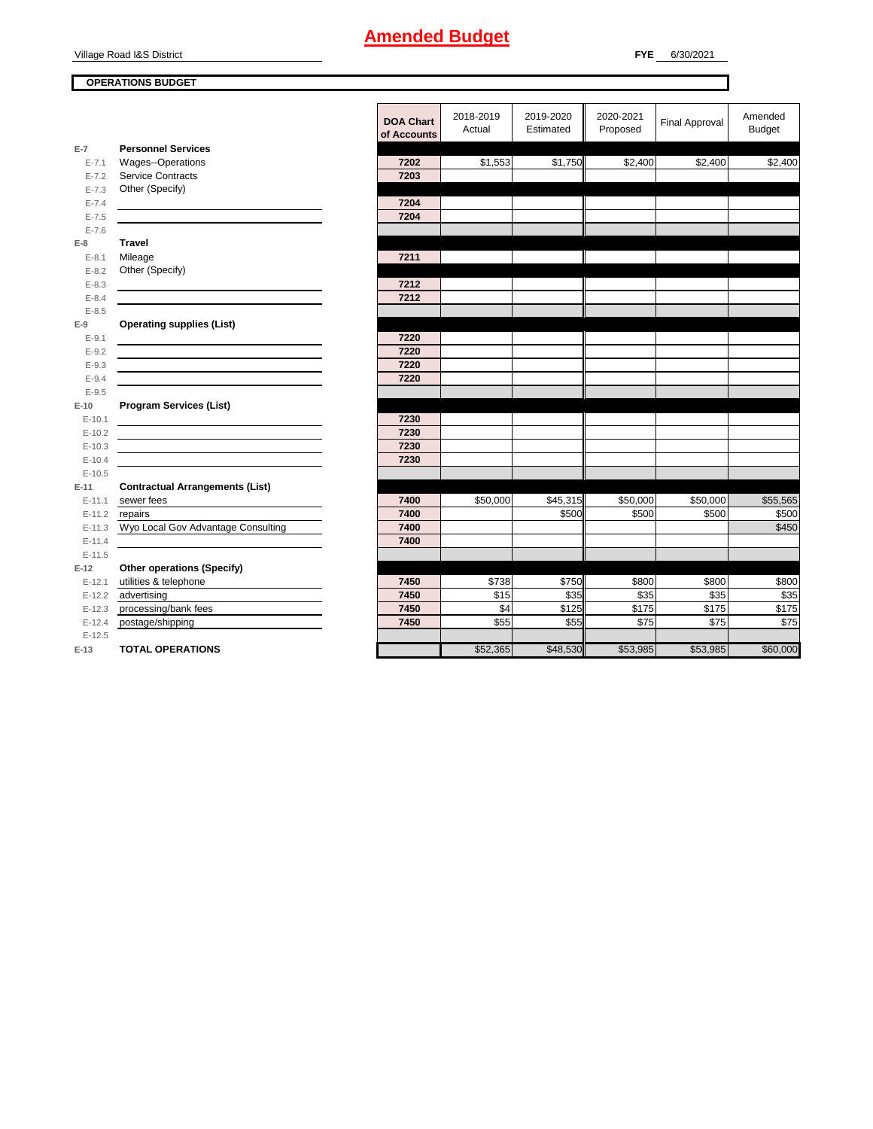Village Road I&S District

### **OPERATIONS BUDGET**

٦

|           |                                                                                           | .        |
|-----------|-------------------------------------------------------------------------------------------|----------|
|           |                                                                                           | of Accou |
| $E-7$     | <b>Personnel Services</b>                                                                 |          |
| $E - 7.1$ | Wages--Operations                                                                         | 7202     |
| $E - 7.2$ | <b>Service Contracts</b>                                                                  | 7203     |
| $E - 7.3$ | Other (Specify)                                                                           |          |
| $E - 7.4$ |                                                                                           | 7204     |
| $E - 7.5$ |                                                                                           | 7204     |
| $E - 7.6$ |                                                                                           |          |
| $E-8$     | <b>Travel</b>                                                                             |          |
| $E - 8.1$ | Mileage                                                                                   | 7211     |
| $E-8.2$   | Other (Specify)                                                                           |          |
| $E-8.3$   |                                                                                           | 7212     |
| $E - 8.4$ |                                                                                           | 7212     |
| $E-8.5$   |                                                                                           |          |
| $E-9$     | <b>Operating supplies (List)</b>                                                          |          |
| $E-9.1$   |                                                                                           | 7220     |
| $E-9.2$   |                                                                                           | 7220     |
| $E-9.3$   |                                                                                           | 7220     |
| $E-9.4$   |                                                                                           | 7220     |
| $E-9.5$   |                                                                                           |          |
| $E-10$    | <b>Program Services (List)</b>                                                            |          |
| $E-10.1$  |                                                                                           | 7230     |
| $E-10.2$  |                                                                                           | 7230     |
| $E-10.3$  | the control of the control of the control of the control of the control of the control of | 7230     |
| $E-10.4$  |                                                                                           | 7230     |
| $E-10.5$  |                                                                                           |          |
| $E-11$    | <b>Contractual Arrangements (List)</b>                                                    |          |
| $E-11.1$  | sewer fees                                                                                | 7400     |
| $E-11.2$  | repairs                                                                                   | 7400     |
| $E-11.3$  | Wyo Local Gov Advantage Consulting                                                        | 7400     |
| $E-11.4$  |                                                                                           | 7400     |
| $E-11.5$  |                                                                                           |          |
| $E-12$    | Other operations (Specify)                                                                |          |
| $E-12.1$  | utilities & telephone                                                                     | 7450     |
|           | E-12.2 advertising                                                                        | 7450     |
|           | E-12.3 processing/bank fees                                                               | 7450     |
|           | E-12.4 postage/shipping                                                                   | 7450     |
| $E-12.5$  |                                                                                           |          |

**E-13 TOTAL OPERATIONS** 

|                |                                        | <b>DOA Chart</b><br>of Accounts | 2018-2019<br>Actual | 2019-2020<br>Estimated | 2020-2021<br>Proposed | <b>Final Approval</b> | Amended<br><b>Budget</b> |
|----------------|----------------------------------------|---------------------------------|---------------------|------------------------|-----------------------|-----------------------|--------------------------|
| $\overline{7}$ | <b>Personnel Services</b>              |                                 |                     |                        |                       |                       |                          |
| $E - 7.1$      | Wages--Operations                      | 7202                            | \$1,553             | \$1,750                | \$2,400               | \$2,400               | \$2,400                  |
| $E - 7.2$      | <b>Service Contracts</b>               | 7203                            |                     |                        |                       |                       |                          |
| $E - 7.3$      | Other (Specify)                        |                                 |                     |                        |                       |                       |                          |
| $E - 7.4$      |                                        | 7204                            |                     |                        |                       |                       |                          |
| $E - 7.5$      |                                        | 7204                            |                     |                        |                       |                       |                          |
| $E - 7.6$      |                                        |                                 |                     |                        |                       |                       |                          |
| 8              | <b>Travel</b>                          |                                 |                     |                        |                       |                       |                          |
| $E-8.1$        | Mileage                                | 7211                            |                     |                        |                       |                       |                          |
| $E-8.2$        | Other (Specify)                        |                                 |                     |                        |                       |                       |                          |
| $E-8.3$        |                                        | 7212                            |                     |                        |                       |                       |                          |
| $E-8.4$        |                                        | 7212                            |                     |                        |                       |                       |                          |
| $E-8.5$        |                                        |                                 |                     |                        |                       |                       |                          |
| 9              | <b>Operating supplies (List)</b>       |                                 |                     |                        |                       |                       |                          |
| $E-9.1$        |                                        | 7220                            |                     |                        |                       |                       |                          |
| $E-9.2$        |                                        | 7220                            |                     |                        |                       |                       |                          |
| $E-9.3$        |                                        | 7220                            |                     |                        |                       |                       |                          |
| $E-9.4$        |                                        | 7220                            |                     |                        |                       |                       |                          |
| $E-9.5$        |                                        |                                 |                     |                        |                       |                       |                          |
| 10             | <b>Program Services (List)</b>         |                                 |                     |                        |                       |                       |                          |
| $E-10.1$       |                                        | 7230                            |                     |                        |                       |                       |                          |
| $E-10.2$       |                                        | 7230                            |                     |                        |                       |                       |                          |
| $E-10.3$       |                                        | 7230                            |                     |                        |                       |                       |                          |
| $E-10.4$       |                                        | 7230                            |                     |                        |                       |                       |                          |
| $E-10.5$       |                                        |                                 |                     |                        |                       |                       |                          |
| 11             | <b>Contractual Arrangements (List)</b> |                                 |                     |                        |                       |                       |                          |
| $E-11.1$       | sewer fees                             | 7400                            | \$50,000            | \$45,315               | \$50,000              | \$50,000              | \$55,565                 |
| $E-11.2$       | repairs                                | 7400                            |                     | \$500                  | \$500                 | \$500                 | \$500                    |
| E-11.3         | Wyo Local Gov Advantage Consulting     | 7400                            |                     |                        |                       |                       | \$450                    |
| $E-11.4$       |                                        | 7400                            |                     |                        |                       |                       |                          |
| $E-11.5$       |                                        |                                 |                     |                        |                       |                       |                          |
| 12             | <b>Other operations (Specify)</b>      |                                 |                     |                        |                       |                       |                          |
| $E-12.1$       | utilities & telephone                  | 7450                            | \$738               | \$750                  | \$800                 | \$800                 | \$800                    |
| $E-12.2$       | advertising                            | 7450                            | \$15                | \$35                   | \$35                  | \$35                  | \$35                     |
| $E-12.3$       | processing/bank fees                   | 7450                            | \$4                 | \$125                  | \$175                 | \$175                 | \$175                    |
| $E-12.4$       | postage/shipping                       | 7450                            | \$55                | \$55                   | \$75                  | \$75                  | \$75                     |
| $E-12.5$       |                                        |                                 |                     |                        |                       |                       |                          |
| 13             | <b>TOTAL OPERATIONS</b>                |                                 | \$52,365            | \$48,530               | \$53,985              | \$53,985              | \$60,000                 |
|                |                                        |                                 |                     |                        |                       |                       |                          |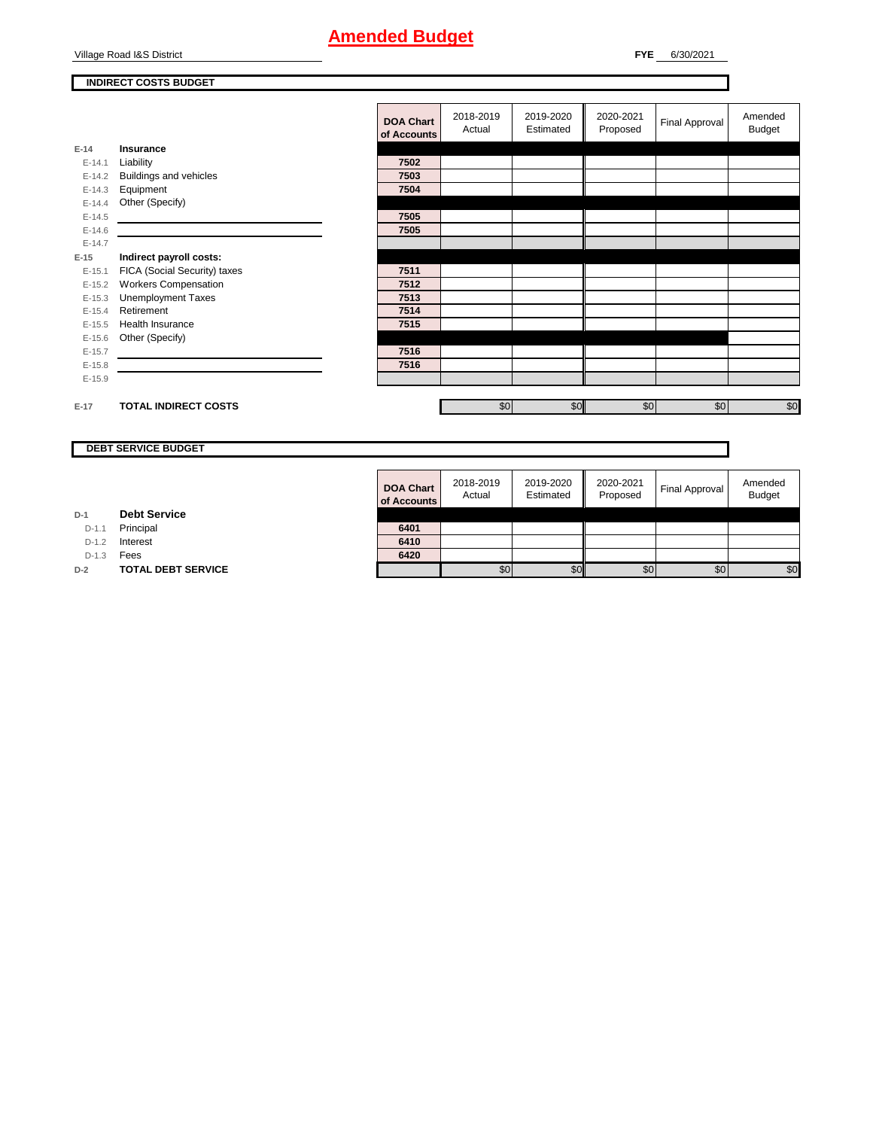Village Road I&S District

**FYE** 6/30/2021

### **INDIRECT COSTS BUDGET**

|          |                                                                                                                       | <b>DOA Chart</b><br>of Accounts | 2018-2019<br>Actual | 2019-2020<br>Estimated | 2020-2021<br>Proposed | Final Approval | Amended<br>Budget |
|----------|-----------------------------------------------------------------------------------------------------------------------|---------------------------------|---------------------|------------------------|-----------------------|----------------|-------------------|
| $E-14$   | Insurance                                                                                                             |                                 |                     |                        |                       |                |                   |
| $E-14.1$ | Liability                                                                                                             | 7502                            |                     |                        |                       |                |                   |
| $E-14.2$ | Buildings and vehicles                                                                                                | 7503                            |                     |                        |                       |                |                   |
| $E-14.3$ | Equipment                                                                                                             | 7504                            |                     |                        |                       |                |                   |
| $E-14.4$ | Other (Specify)                                                                                                       |                                 |                     |                        |                       |                |                   |
| $E-14.5$ |                                                                                                                       | 7505                            |                     |                        |                       |                |                   |
| $E-14.6$ | <u> 1989 - Jan Sterling av den stad for de stad for de stad for de stad for de stad for de stad for de stad for</u>   | 7505                            |                     |                        |                       |                |                   |
| $E-14.7$ |                                                                                                                       |                                 |                     |                        |                       |                |                   |
| $E-15$   | Indirect payroll costs:                                                                                               |                                 |                     |                        |                       |                |                   |
| $E-15.1$ | FICA (Social Security) taxes                                                                                          | 7511                            |                     |                        |                       |                |                   |
| $E-15.2$ | <b>Workers Compensation</b>                                                                                           | 7512                            |                     |                        |                       |                |                   |
| $E-15.3$ | <b>Unemployment Taxes</b>                                                                                             | 7513                            |                     |                        |                       |                |                   |
| $E-15.4$ | Retirement                                                                                                            | 7514                            |                     |                        |                       |                |                   |
| $E-15.5$ | Health Insurance                                                                                                      | 7515                            |                     |                        |                       |                |                   |
| $E-15.6$ | Other (Specify)                                                                                                       |                                 |                     |                        |                       |                |                   |
| $E-15.7$ |                                                                                                                       | 7516                            |                     |                        |                       |                |                   |
| $E-15.8$ | <u> 1980 - Jan Samuel Barbara, martin a shekara 1980 - An tsara 1980 - An tsara 1980 - An tsara 1980 - An tsara 1</u> | 7516                            |                     |                        |                       |                |                   |
| $E-15.9$ |                                                                                                                       |                                 |                     |                        |                       |                |                   |
|          |                                                                                                                       |                                 |                     |                        |                       |                |                   |
| $E-17$   | <b>TOTAL INDIRECT COSTS</b>                                                                                           |                                 | \$0                 | \$0                    | \$0                   | \$0            | \$0               |
|          |                                                                                                                       |                                 |                     |                        |                       |                |                   |

**DEBT SERVICE BUDGET**

|         |                           | <b>DOA Chart</b><br>of Accounts | 2018-2019<br>Actual | 2019-2020<br>Estimated | 2020-2021<br>Proposed | <b>Final Approval</b> | Amended<br><b>Budget</b> |
|---------|---------------------------|---------------------------------|---------------------|------------------------|-----------------------|-----------------------|--------------------------|
|         | <b>Debt Service</b>       |                                 |                     |                        |                       |                       |                          |
| $D-1.1$ | Principal                 | 6401                            |                     |                        |                       |                       |                          |
| $D-1.2$ | Interest                  | 6410                            |                     |                        |                       |                       |                          |
| $D-1.3$ | Fees                      | 6420                            |                     |                        |                       |                       |                          |
|         | <b>TOTAL DEBT SERVICE</b> |                                 | \$0                 | \$0                    | \$0                   | \$0                   | \$0                      |

**D-1 Debt Service**

D-1.3 **Fees D-2 TOTAL DEBT SERVICE**